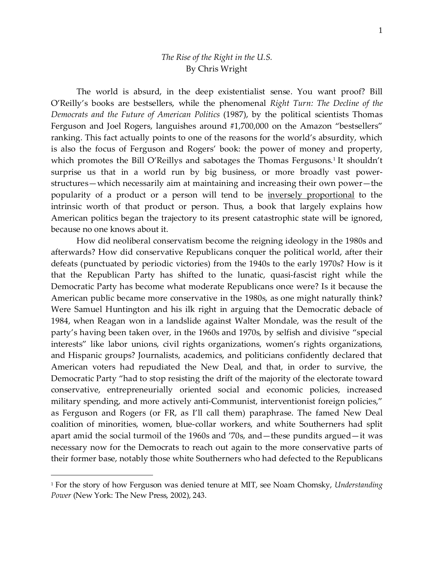## *The Rise of the Right in the U.S.* By Chris Wright

The world is absurd, in the deep existentialist sense. You want proof? Bill O'Reilly's books are bestsellers, while the phenomenal *Right Turn: The Decline of the Democrats and the Future of American Politics* (1987), by the political scientists Thomas Ferguson and Joel Rogers, languishes around #1,700,000 on the Amazon "bestsellers" ranking. This fact actually points to one of the reasons for the world's absurdity, which is also the focus of Ferguson and Rogers' book: the power of money and property, which promotes the Bill O'Reillys and sabotages the Thomas Fergusons.<sup>1</sup> It shouldn't surprise us that in a world run by big business, or more broadly vast powerstructures—which necessarily aim at maintaining and increasing their own power—the popularity of a product or a person will tend to be inversely [proportional](https://www.wrightswriting.com/post/2015/05/20/The-fraudulence-of-status) to the intrinsic worth of that product or person. Thus, a book that largely explains how American politics began the trajectory to its present catastrophic state will be ignored, because no one knows about it.

How did neoliberal conservatism become the reigning ideology in the 1980s and afterwards? How did conservative Republicans conquer the political world, after their defeats (punctuated by periodic victories) from the 1940s to the early 1970s? How is it that the Republican Party has shifted to the lunatic, quasi-fascist right while the Democratic Party has become what moderate Republicans once were? Is it because the American public became more conservative in the 1980s, as one might naturally think? Were Samuel Huntington and his ilk right in arguing that the Democratic debacle of 1984, when Reagan won in a landslide against Walter Mondale, was the result of the party's having been taken over, in the 1960s and 1970s, by selfish and divisive "special interests" like labor unions, civil rights organizations, women's rights organizations, and Hispanic groups? Journalists, academics, and politicians confidently declared that American voters had repudiated the New Deal, and that, in order to survive, the Democratic Party "had to stop resisting the drift of the majority of the electorate toward conservative, entrepreneurially oriented social and economic policies, increased military spending, and more actively anti-Communist, interventionist foreign policies," as Ferguson and Rogers (or FR, as I'll call them) paraphrase. The famed New Deal coalition of minorities, women, blue-collar workers, and white Southerners had split apart amid the social turmoil of the 1960s and '70s, and—these pundits argued—it was necessary now for the Democrats to reach out again to the more conservative parts of their former base, notably those white Southerners who had defected to the Republicans

 $\overline{a}$ 

<sup>1</sup> For the story of how Ferguson was denied tenure at MIT, see Noam Chomsky, *Understanding Power* (New York: The New Press, 2002), 243.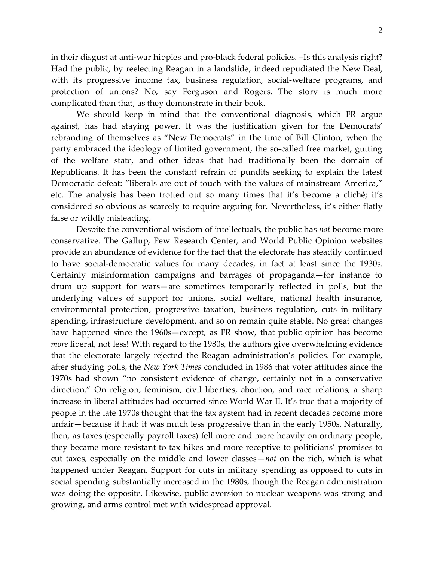in their disgust at anti-war hippies and pro-black federal policies. –Is this analysis right? Had the public, by reelecting Reagan in a landslide, indeed repudiated the New Deal, with its progressive income tax, business regulation, social-welfare programs, and protection of unions? No, say Ferguson and Rogers. The story is much more

We should keep in mind that the conventional diagnosis, which FR argue against, has had staying power. It was the justification given for the Democrats' rebranding of themselves as "New Democrats" in the time of Bill Clinton, when the party embraced the ideology of limited government, the so-called free market, gutting of the welfare state, and other ideas that had traditionally been the domain of Republicans. It has been the constant refrain of pundits seeking to explain the latest Democratic defeat: "liberals are out of touch with the values of mainstream America," etc. The analysis has been trotted out so many times that it's become a cliché; it's considered so obvious as scarcely to require arguing for. Nevertheless, it's either flatly false or wildly misleading.

complicated than that, as they demonstrate in their book.

Despite the conventional wisdom of intellectuals, the public has *not* become more conservative. The Gallup, Pew Research Center, and World Public Opinion websites provide an abundance of evidence for the fact that the electorate has steadily continued to have social-democratic values for many decades, in fact at least since the 1930s. Certainly misinformation campaigns and barrages of propaganda—for instance to drum up support for wars—are sometimes temporarily reflected in polls, but the underlying values of support for unions, social welfare, national health insurance, environmental protection, progressive taxation, business regulation, cuts in military spending, infrastructure development, and so on remain quite stable. No great changes have happened since the 1960s—except, as FR show, that public opinion has become *more* liberal, not less! With regard to the 1980s, the authors give overwhelming evidence that the electorate largely rejected the Reagan administration's policies. For example, after studying polls, the *New York Times* concluded in 1986 that voter attitudes since the 1970s had shown "no consistent evidence of change, certainly not in a conservative direction." On religion, feminism, civil liberties, abortion, and race relations, a sharp increase in liberal attitudes had occurred since World War II. It's true that a majority of people in the late 1970s thought that the tax system had in recent decades become more unfair—because it had: it was much less progressive than in the early 1950s. Naturally, then, as taxes (especially payroll taxes) fell more and more heavily on ordinary people, they became more resistant to tax hikes and more receptive to politicians' promises to cut taxes, especially on the middle and lower classes—*not* on the rich, which is what happened under Reagan. Support for cuts in military spending as opposed to cuts in social spending substantially increased in the 1980s, though the Reagan administration was doing the opposite. Likewise, public aversion to nuclear weapons was strong and growing, and arms control met with widespread approval.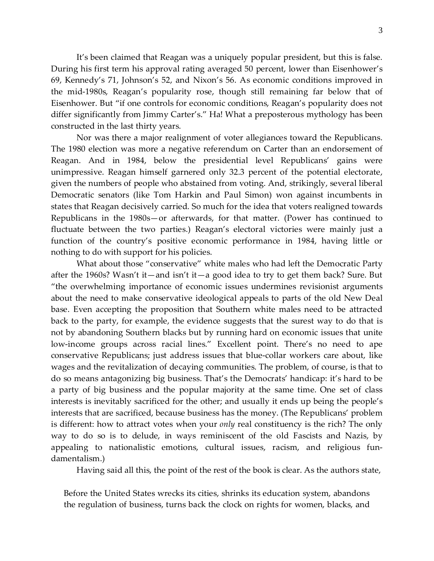It's been claimed that Reagan was a uniquely popular president, but this is false. During his first term his approval rating averaged 50 percent, lower than Eisenhower's 69, Kennedy's 71, Johnson's 52, and Nixon's 56. As economic conditions improved in the mid-1980s, Reagan's popularity rose, though still remaining far below that of Eisenhower. But "if one controls for economic conditions, Reagan's popularity does not differ significantly from Jimmy Carter's." Ha! What a preposterous mythology has been constructed in the last thirty years.

Nor was there a major realignment of voter allegiances toward the Republicans. The 1980 election was more a negative referendum on Carter than an endorsement of Reagan. And in 1984, below the presidential level Republicans' gains were unimpressive. Reagan himself garnered only 32.3 percent of the potential electorate, given the numbers of people who abstained from voting. And, strikingly, several liberal Democratic senators (like Tom Harkin and Paul Simon) won against incumbents in states that Reagan decisively carried. So much for the idea that voters realigned towards Republicans in the 1980s—or afterwards, for that matter. (Power has continued to fluctuate between the two parties.) Reagan's electoral victories were mainly just a function of the country's positive economic performance in 1984, having little or nothing to do with support for his policies.

What about those "conservative" white males who had left the Democratic Party after the 1960s? Wasn't it—and isn't it—a good idea to try to get them back? Sure. But "the overwhelming importance of economic issues undermines revisionist arguments about the need to make conservative ideological appeals to parts of the old New Deal base. Even accepting the proposition that Southern white males need to be attracted back to the party, for example, the evidence suggests that the surest way to do that is not by abandoning Southern blacks but by running hard on economic issues that unite low-income groups across racial lines." Excellent point. There's no need to ape conservative Republicans; just address issues that blue-collar workers care about, like wages and the revitalization of decaying communities. The problem, of course, is that to do so means antagonizing big business. That's the Democrats' handicap: it's hard to be a party of big business and the popular majority at the same time. One set of class interests is inevitably sacrificed for the other; and usually it ends up being the people's interests that are sacrificed, because business has the money. (The Republicans' problem is different: how to attract votes when your *only* real constituency is the rich? The only way to do so is to delude, in ways reminiscent of the old Fascists and Nazis, by appealing to nationalistic emotions, cultural issues, racism, and religious fundamentalism.)

Having said all this, the point of the rest of the book is clear. As the authors state,

Before the United States wrecks its cities, shrinks its education system, abandons the regulation of business, turns back the clock on rights for women, blacks, and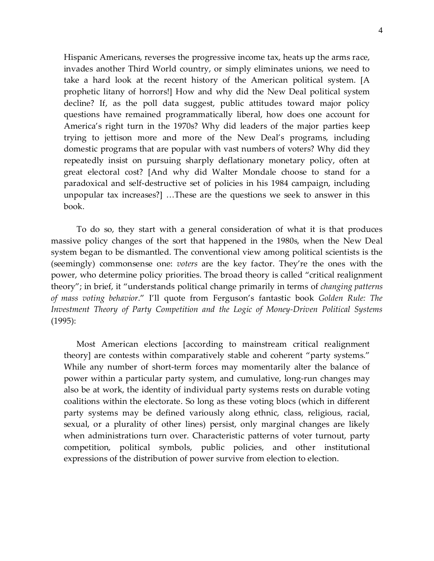Hispanic Americans, reverses the progressive income tax, heats up the arms race, invades another Third World country, or simply eliminates unions, we need to take a hard look at the recent history of the American political system. [A prophetic litany of horrors!] How and why did the New Deal political system decline? If, as the poll data suggest, public attitudes toward major policy questions have remained programmatically liberal, how does one account for America's right turn in the 1970s? Why did leaders of the major parties keep trying to jettison more and more of the New Deal's programs, including domestic programs that are popular with vast numbers of voters? Why did they repeatedly insist on pursuing sharply deflationary monetary policy, often at great electoral cost? [And why did Walter Mondale choose to stand for a paradoxical and self-destructive set of policies in his 1984 campaign, including unpopular tax increases?] …These are the questions we seek to answer in this book.

To do so, they start with a general consideration of what it is that produces massive policy changes of the sort that happened in the 1980s, when the New Deal system began to be dismantled. The conventional view among political scientists is the (seemingly) commonsense one: *voters* are the key factor. They're the ones with the power, who determine policy priorities. The broad theory is called "critical realignment theory"; in brief, it "understands political change primarily in terms of *changing patterns of mass voting behavior*." I'll quote from Ferguson's fantastic book *Golden Rule: The Investment Theory of Party Competition and the Logic of Money-Driven Political Systems* (1995):

Most American elections [according to mainstream critical realignment theory] are contests within comparatively stable and coherent "party systems." While any number of short-term forces may momentarily alter the balance of power within a particular party system, and cumulative, long-run changes may also be at work, the identity of individual party systems rests on durable voting coalitions within the electorate. So long as these voting blocs (which in different party systems may be defined variously along ethnic, class, religious, racial, sexual, or a plurality of other lines) persist, only marginal changes are likely when administrations turn over. Characteristic patterns of voter turnout, party competition, political symbols, public policies, and other institutional expressions of the distribution of power survive from election to election.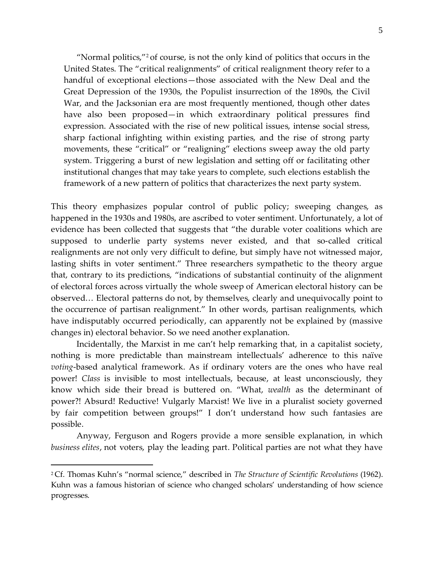"Normal politics,"<sup>2</sup> of course, is not the only kind of politics that occurs in the United States. The "critical realignments" of critical realignment theory refer to a handful of exceptional elections—those associated with the New Deal and the Great Depression of the 1930s, the Populist insurrection of the 1890s, the Civil War, and the Jacksonian era are most frequently mentioned, though other dates have also been proposed—in which extraordinary political pressures find expression. Associated with the rise of new political issues, intense social stress, sharp factional infighting within existing parties, and the rise of strong party movements, these "critical" or "realigning" elections sweep away the old party system. Triggering a burst of new legislation and setting off or facilitating other institutional changes that may take years to complete, such elections establish the framework of a new pattern of politics that characterizes the next party system.

This theory emphasizes popular control of public policy; sweeping changes, as happened in the 1930s and 1980s, are ascribed to voter sentiment. Unfortunately, a lot of evidence has been collected that suggests that "the durable voter coalitions which are supposed to underlie party systems never existed, and that so-called critical realignments are not only very difficult to define, but simply have not witnessed major, lasting shifts in voter sentiment." Three researchers sympathetic to the theory argue that, contrary to its predictions, "indications of substantial continuity of the alignment of electoral forces across virtually the whole sweep of American electoral history can be observed… Electoral patterns do not, by themselves, clearly and unequivocally point to the occurrence of partisan realignment." In other words, partisan realignments, which have indisputably occurred periodically, can apparently not be explained by (massive changes in) electoral behavior. So we need another explanation.

Incidentally, the Marxist in me can't help remarking that, in a capitalist society, nothing is more predictable than mainstream intellectuals' adherence to this naïve *voting*-based analytical framework. As if ordinary voters are the ones who have real power! *Class* is invisible to most intellectuals, because, at least unconsciously, they know which side their bread is buttered on. "What, *wealth* as the determinant of power?! Absurd! Reductive! Vulgarly Marxist! We live in a pluralist society governed by fair competition between groups!" I don't understand how such fantasies are possible.

Anyway, Ferguson and Rogers provide a more sensible explanation, in which *business elites*, not voters, play the leading part. Political parties are not what they have

<sup>2</sup> Cf. Thomas Kuhn's "normal science," described in *The Structure of Scientific Revolutions* (1962). Kuhn was a famous historian of science who changed scholars' understanding of how science progresses.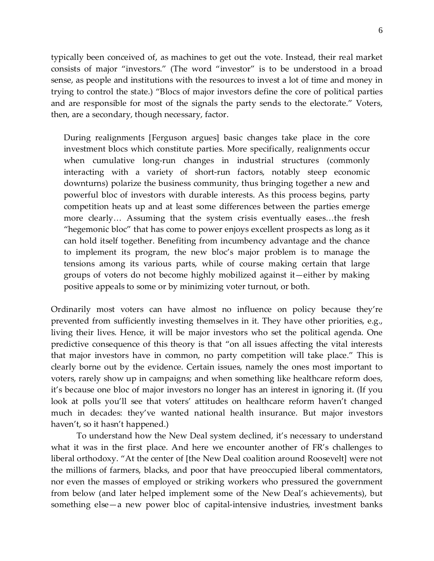typically been conceived of, as machines to get out the vote. Instead, their real market consists of major "investors." (The word "investor" is to be understood in a broad sense, as people and institutions with the resources to invest a lot of time and money in trying to control the state.) "Blocs of major investors define the core of political parties and are responsible for most of the signals the party sends to the electorate." Voters, then, are a secondary, though necessary, factor.

During realignments [Ferguson argues] basic changes take place in the core investment blocs which constitute parties. More specifically, realignments occur when cumulative long-run changes in industrial structures (commonly interacting with a variety of short-run factors, notably steep economic downturns) polarize the business community, thus bringing together a new and powerful bloc of investors with durable interests. As this process begins, party competition heats up and at least some differences between the parties emerge more clearly… Assuming that the system crisis eventually eases…the fresh "hegemonic bloc" that has come to power enjoys excellent prospects as long as it can hold itself together. Benefiting from incumbency advantage and the chance to implement its program, the new bloc's major problem is to manage the tensions among its various parts, while of course making certain that large groups of voters do not become highly mobilized against it—either by making positive appeals to some or by minimizing voter turnout, or both.

Ordinarily most voters can have almost no influence on policy because they're prevented from sufficiently investing themselves in it. They have other priorities, e.g., living their lives. Hence, it will be major investors who set the political agenda. One predictive consequence of this theory is that "on all issues affecting the vital interests that major investors have in common, no party competition will take place." This is clearly borne out by the evidence. Certain issues, namely the ones most important to voters, rarely show up in campaigns; and when something like healthcare reform does, it's because one bloc of major investors no longer has an interest in ignoring it. (If you look at polls you'll see that voters' attitudes on healthcare reform haven't changed much in decades: they've wanted national health insurance. But major investors haven't, so it hasn't happened.)

To understand how the New Deal system declined, it's necessary to understand what it was in the first place. And here we encounter another of FR's challenges to liberal orthodoxy. "At the center of [the New Deal coalition around Roosevelt] were not the millions of farmers, blacks, and poor that have preoccupied liberal commentators, nor even the masses of employed or striking workers who pressured the government from below (and later helped implement some of the New Deal's achievements), but something else—a new power bloc of capital-intensive industries, investment banks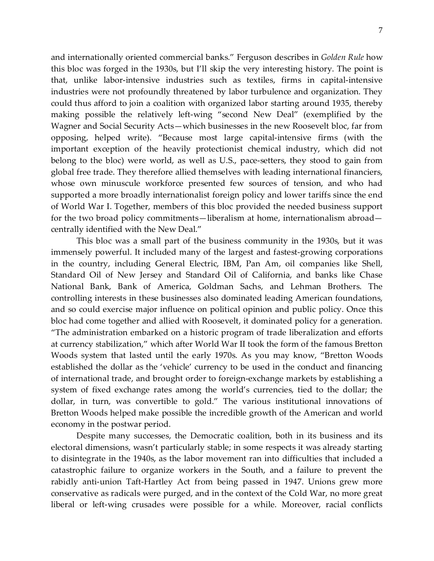and internationally oriented commercial banks." Ferguson describes in *Golden Rule* how this bloc was forged in the 1930s, but I'll skip the very interesting history. The point is that, unlike labor-intensive industries such as textiles, firms in capital-intensive industries were not profoundly threatened by labor turbulence and organization. They could thus afford to join a coalition with organized labor starting around 1935, thereby making possible the relatively left-wing "second New Deal" (exemplified by the Wagner and Social Security Acts—which businesses in the new Roosevelt bloc, far from opposing, helped write). "Because most large capital-intensive firms (with the important exception of the heavily protectionist chemical industry, which did not belong to the bloc) were world, as well as U.S., pace-setters, they stood to gain from global free trade. They therefore allied themselves with leading international financiers, whose own minuscule workforce presented few sources of tension, and who had supported a more broadly internationalist foreign policy and lower tariffs since the end of World War I. Together, members of this bloc provided the needed business support for the two broad policy commitments—liberalism at home, internationalism abroad centrally identified with the New Deal."

This bloc was a small part of the business community in the 1930s, but it was immensely powerful. It included many of the largest and fastest-growing corporations in the country, including General Electric, IBM, Pan Am, oil companies like Shell, Standard Oil of New Jersey and Standard Oil of California, and banks like Chase National Bank, Bank of America, Goldman Sachs, and Lehman Brothers. The controlling interests in these businesses also dominated leading American foundations, and so could exercise major influence on political opinion and public policy. Once this bloc had come together and allied with Roosevelt, it dominated policy for a generation. "The administration embarked on a historic program of trade liberalization and efforts at currency stabilization," which after World War II took the form of the famous Bretton Woods system that lasted until the early 1970s. As you may know, "Bretton Woods established the dollar as the 'vehicle' currency to be used in the conduct and financing of international trade, and brought order to foreign-exchange markets by establishing a system of fixed exchange rates among the world's currencies, tied to the dollar; the dollar, in turn, was convertible to gold." The various institutional innovations of Bretton Woods helped make possible the incredible growth of the American and world economy in the postwar period.

Despite many successes, the Democratic coalition, both in its business and its electoral dimensions, wasn't particularly stable; in some respects it was already starting to disintegrate in the 1940s, as the labor movement ran into difficulties that included a catastrophic failure to organize workers in the South, and a failure to prevent the rabidly anti-union Taft-Hartley Act from being passed in 1947. Unions grew more conservative as radicals were purged, and in the context of the Cold War, no more great liberal or left-wing crusades were possible for a while. Moreover, racial conflicts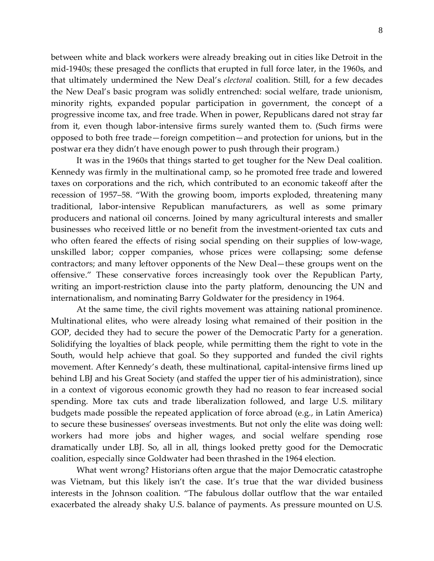between white and black workers were already breaking out in cities like Detroit in the mid-1940s; these presaged the conflicts that erupted in full force later, in the 1960s, and that ultimately undermined the New Deal's *electoral* coalition. Still, for a few decades the New Deal's basic program was solidly entrenched: social welfare, trade unionism, minority rights, expanded popular participation in government, the concept of a progressive income tax, and free trade. When in power, Republicans dared not stray far from it, even though labor-intensive firms surely wanted them to. (Such firms were opposed to both free trade—foreign competition—and protection for unions, but in the postwar era they didn't have enough power to push through their program.)

It was in the 1960s that things started to get tougher for the New Deal coalition. Kennedy was firmly in the multinational camp, so he promoted free trade and lowered taxes on corporations and the rich, which contributed to an economic takeoff after the recession of 1957–58. "With the growing boom, imports exploded, threatening many traditional, labor-intensive Republican manufacturers, as well as some primary producers and national oil concerns. Joined by many agricultural interests and smaller businesses who received little or no benefit from the investment-oriented tax cuts and who often feared the effects of rising social spending on their supplies of low-wage, unskilled labor; copper companies, whose prices were collapsing; some defense contractors; and many leftover opponents of the New Deal—these groups went on the offensive." These conservative forces increasingly took over the Republican Party, writing an import-restriction clause into the party platform, denouncing the UN and internationalism, and nominating Barry Goldwater for the presidency in 1964.

At the same time, the civil rights movement was attaining national prominence. Multinational elites, who were already losing what remained of their position in the GOP, decided they had to secure the power of the Democratic Party for a generation. Solidifying the loyalties of black people, while permitting them the right to vote in the South, would help achieve that goal. So they supported and funded the civil rights movement. After Kennedy's death, these multinational, capital-intensive firms lined up behind LBJ and his Great Society (and staffed the upper tier of his administration), since in a context of vigorous economic growth they had no reason to fear increased social spending. More tax cuts and trade liberalization followed, and large U.S. military budgets made possible the repeated application of force abroad (e.g., in Latin America) to secure these businesses' overseas investments. But not only the elite was doing well: workers had more jobs and higher wages, and social welfare spending rose dramatically under LBJ. So, all in all, things looked pretty good for the Democratic coalition, especially since Goldwater had been thrashed in the 1964 election.

What went wrong? Historians often argue that the major Democratic catastrophe was Vietnam, but this likely isn't the case. It's true that the war divided business interests in the Johnson coalition. "The fabulous dollar outflow that the war entailed exacerbated the already shaky U.S. balance of payments. As pressure mounted on U.S.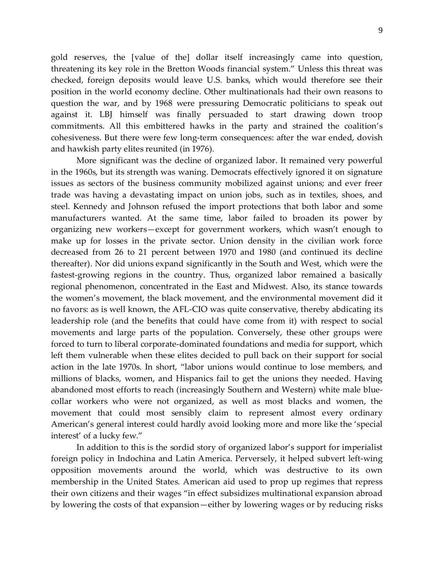gold reserves, the [value of the] dollar itself increasingly came into question, threatening its key role in the Bretton Woods financial system." Unless this threat was checked, foreign deposits would leave U.S. banks, which would therefore see their position in the world economy decline. Other multinationals had their own reasons to question the war, and by 1968 were pressuring Democratic politicians to speak out against it. LBJ himself was finally persuaded to start drawing down troop commitments. All this embittered hawks in the party and strained the coalition's cohesiveness. But there were few long-term consequences: after the war ended, dovish and hawkish party elites reunited (in 1976).

More significant was the decline of organized labor. It remained very powerful in the 1960s, but its strength was waning. Democrats effectively ignored it on signature issues as sectors of the business community mobilized against unions; and ever freer trade was having a devastating impact on union jobs, such as in textiles, shoes, and steel. Kennedy and Johnson refused the import protections that both labor and some manufacturers wanted. At the same time, labor failed to broaden its power by organizing new workers—except for government workers, which wasn't enough to make up for losses in the private sector. Union density in the civilian work force decreased from 26 to 21 percent between 1970 and 1980 (and continued its decline thereafter). Nor did unions expand significantly in the South and West, which were the fastest-growing regions in the country. Thus, organized labor remained a basically regional phenomenon, concentrated in the East and Midwest. Also, its stance towards the women's movement, the black movement, and the environmental movement did it no favors: as is well known, the AFL-CIO was quite conservative, thereby abdicating its leadership role (and the benefits that could have come from it) with respect to social movements and large parts of the population. Conversely, these other groups were forced to turn to liberal corporate-dominated foundations and media for support, which left them vulnerable when these elites decided to pull back on their support for social action in the late 1970s. In short, "labor unions would continue to lose members, and millions of blacks, women, and Hispanics fail to get the unions they needed. Having abandoned most efforts to reach (increasingly Southern and Western) white male bluecollar workers who were not organized, as well as most blacks and women, the movement that could most sensibly claim to represent almost every ordinary American's general interest could hardly avoid looking more and more like the 'special interest' of a lucky few."

In addition to this is the sordid story of organized labor's support for imperialist foreign policy in Indochina and Latin America. Perversely, it helped subvert left-wing opposition movements around the world, which was destructive to its own membership in the United States. American aid used to prop up regimes that repress their own citizens and their wages "in effect subsidizes multinational expansion abroad by lowering the costs of that expansion—either by lowering wages or by reducing risks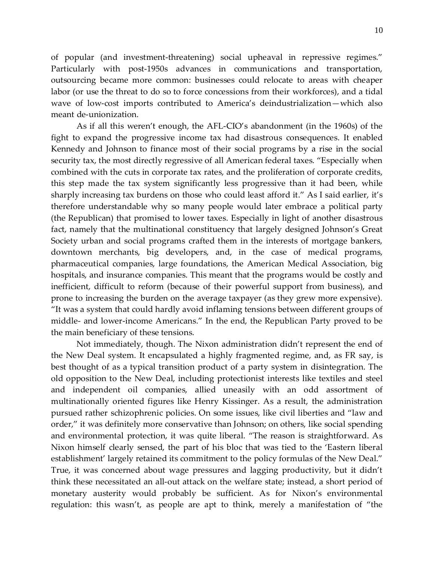of popular (and investment-threatening) social upheaval in repressive regimes." Particularly with post-1950s advances in communications and transportation, outsourcing became more common: businesses could relocate to areas with cheaper labor (or use the threat to do so to force concessions from their workforces), and a tidal wave of low-cost imports contributed to America's deindustrialization—which also meant de-unionization.

As if all this weren't enough, the AFL-CIO's abandonment (in the 1960s) of the fight to expand the progressive income tax had disastrous consequences. It enabled Kennedy and Johnson to finance most of their social programs by a rise in the social security tax, the most directly regressive of all American federal taxes. "Especially when combined with the cuts in corporate tax rates, and the proliferation of corporate credits, this step made the tax system significantly less progressive than it had been, while sharply increasing tax burdens on those who could least afford it." As I said earlier, it's therefore understandable why so many people would later embrace a political party (the Republican) that promised to lower taxes. Especially in light of another disastrous fact, namely that the multinational constituency that largely designed Johnson's Great Society urban and social programs crafted them in the interests of mortgage bankers, downtown merchants, big developers, and, in the case of medical programs, pharmaceutical companies, large foundations, the American Medical Association, big hospitals, and insurance companies. This meant that the programs would be costly and inefficient, difficult to reform (because of their powerful support from business), and prone to increasing the burden on the average taxpayer (as they grew more expensive). "It was a system that could hardly avoid inflaming tensions between different groups of middle- and lower-income Americans." In the end, the Republican Party proved to be the main beneficiary of these tensions.

Not immediately, though. The Nixon administration didn't represent the end of the New Deal system. It encapsulated a highly fragmented regime, and, as FR say, is best thought of as a typical transition product of a party system in disintegration. The old opposition to the New Deal, including protectionist interests like textiles and steel and independent oil companies, allied uneasily with an odd assortment of multinationally oriented figures like Henry Kissinger. As a result, the administration pursued rather schizophrenic policies. On some issues, like civil liberties and "law and order," it was definitely more conservative than Johnson; on others, like social spending and environmental protection, it was quite liberal. "The reason is straightforward. As Nixon himself clearly sensed, the part of his bloc that was tied to the 'Eastern liberal establishment' largely retained its commitment to the policy formulas of the New Deal." True, it was concerned about wage pressures and lagging productivity, but it didn't think these necessitated an all-out attack on the welfare state; instead, a short period of monetary austerity would probably be sufficient. As for Nixon's environmental regulation: this wasn't, as people are apt to think, merely a manifestation of "the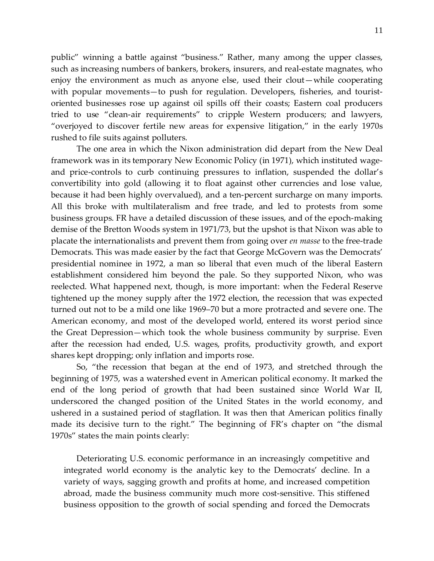public" winning a battle against "business." Rather, many among the upper classes, such as increasing numbers of bankers, brokers, insurers, and real-estate magnates, who enjoy the environment as much as anyone else, used their clout—while cooperating with popular movements—to push for regulation. Developers, fisheries, and touristoriented businesses rose up against oil spills off their coasts; Eastern coal producers tried to use "clean-air requirements" to cripple Western producers; and lawyers, "overjoyed to discover fertile new areas for expensive litigation," in the early 1970s rushed to file suits against polluters.

The one area in which the Nixon administration did depart from the New Deal framework was in its temporary New Economic Policy (in 1971), which instituted wageand price-controls to curb continuing pressures to inflation, suspended the dollar's convertibility into gold (allowing it to float against other currencies and lose value, because it had been highly overvalued), and a ten-percent surcharge on many imports. All this broke with multilateralism and free trade, and led to protests from some business groups. FR have a detailed discussion of these issues, and of the epoch-making demise of the Bretton Woods system in 1971/73, but the upshot is that Nixon was able to placate the internationalists and prevent them from going over *en masse* to the free-trade Democrats. This was made easier by the fact that George McGovern was the Democrats' presidential nominee in 1972, a man so liberal that even much of the liberal Eastern establishment considered him beyond the pale. So they supported Nixon, who was reelected. What happened next, though, is more important: when the Federal Reserve tightened up the money supply after the 1972 election, the recession that was expected turned out not to be a mild one like 1969–70 but a more protracted and severe one. The American economy, and most of the developed world, entered its worst period since the Great Depression—which took the whole business community by surprise. Even after the recession had ended, U.S. wages, profits, productivity growth, and export shares kept dropping; only inflation and imports rose.

So, "the recession that began at the end of 1973, and stretched through the beginning of 1975, was a watershed event in American political economy. It marked the end of the long period of growth that had been sustained since World War II, underscored the changed position of the United States in the world economy, and ushered in a sustained period of stagflation. It was then that American politics finally made its decisive turn to the right." The beginning of FR's chapter on "the dismal 1970s" states the main points clearly:

Deteriorating U.S. economic performance in an increasingly competitive and integrated world economy is the analytic key to the Democrats' decline. In a variety of ways, sagging growth and profits at home, and increased competition abroad, made the business community much more cost-sensitive. This stiffened business opposition to the growth of social spending and forced the Democrats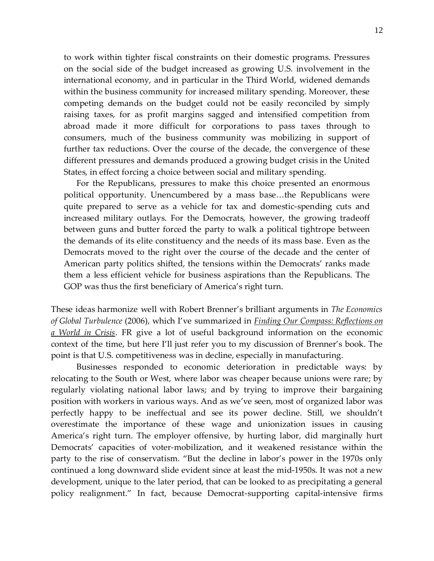to work within tighter fiscal constraints on their domestic programs. Pressures on the social side of the budget increased as growing U.S. involvement in the international economy, and in particular in the Third World, widened demands within the business community for increased military spending. Moreover, these competing demands on the budget could not be easily reconciled by simply raising taxes, for as profit margins sagged and intensified competition from abroad made it more difficult for corporations to pass taxes through to consumers, much of the business community was mobilizing in support of further tax reductions. Over the course of the decade, the convergence of these different pressures and demands produced a growing budget crisis in the United States, in effect forcing a choice between social and military spending.

For the Republicans, pressures to make this choice presented an enormous political opportunity. Unencumbered by a mass base…the Republicans were quite prepared to serve as a vehicle for tax and domestic-spending cuts and increased military outlays. For the Democrats, however, the growing tradeoff between guns and butter forced the party to walk a political tightrope between the demands of its elite constituency and the needs of its mass base. Even as the Democrats moved to the right over the course of the decade and the center of American party politics shifted, the tensions within the Democrats' ranks made them a less efficient vehicle for business aspirations than the Republicans. The GOP was thus the first beneficiary of America's right turn.

These ideas harmonize well with Robert Brenner's brilliant arguments in *The Economics of Global Turbulence* (2006), which I've summarized in *Finding Our Compass: [Reflections](https://libcom.org/library/finding-our-compass-reflections-world-crisis) on a [World](https://libcom.org/library/finding-our-compass-reflections-world-crisis) in Crisis*. FR give a lot of useful background information on the economic context of the time, but here I'll just refer you to my discussion of Brenner's book. The point is that U.S. competitiveness was in decline, especially in manufacturing.

Businesses responded to economic deterioration in predictable ways: by relocating to the South or West, where labor was cheaper because unions were rare; by regularly violating national labor laws; and by trying to improve their bargaining position with workers in various ways. And as we've seen, most of organized labor was perfectly happy to be ineffectual and see its power decline. Still, we shouldn't overestimate the importance of these wage and unionization issues in causing America's right turn. The employer offensive, by hurting labor, did marginally hurt Democrats' capacities of voter-mobilization, and it weakened resistance within the party to the rise of conservatism. "But the decline in labor's power in the 1970s only continued a long downward slide evident since at least the mid-1950s. It was not a new development, unique to the later period, that can be looked to as precipitating a general policy realignment." In fact, because Democrat-supporting capital-intensive firms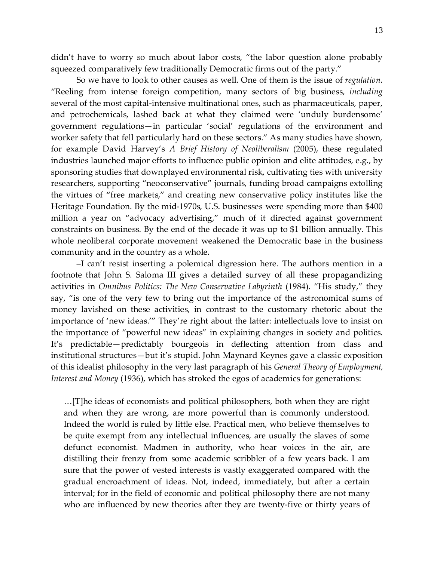didn't have to worry so much about labor costs, "the labor question alone probably squeezed comparatively few traditionally Democratic firms out of the party."

So we have to look to other causes as well. One of them is the issue of *regulation*. "Reeling from intense foreign competition, many sectors of big business, *including* several of the most capital-intensive multinational ones, such as pharmaceuticals, paper, and petrochemicals, lashed back at what they claimed were 'unduly burdensome' government regulations—in particular 'social' regulations of the environment and worker safety that fell particularly hard on these sectors." As many studies have shown, for example David Harvey's *A Brief History of Neoliberalism* (2005), these regulated industries launched major efforts to influence public opinion and elite attitudes, e.g., by sponsoring studies that downplayed environmental risk, cultivating ties with university researchers, supporting "neoconservative" journals, funding broad campaigns extolling the virtues of "free markets," and creating new conservative policy institutes like the Heritage Foundation. By the mid-1970s, U.S. businesses were spending more than \$400 million a year on "advocacy advertising," much of it directed against government constraints on business. By the end of the decade it was up to \$1 billion annually. This whole neoliberal corporate movement weakened the Democratic base in the business community and in the country as a whole.

–I can't resist inserting a polemical digression here. The authors mention in a footnote that John S. Saloma III gives a detailed survey of all these propagandizing activities in *Omnibus Politics: The New Conservative Labyrinth* (1984). "His study," they say, "is one of the very few to bring out the importance of the astronomical sums of money lavished on these activities, in contrast to the customary rhetoric about the importance of 'new ideas.'" They're right about the latter: intellectuals love to insist on the importance of "powerful new ideas" in explaining changes in society and politics. It's predictable—predictably bourgeois in deflecting attention from class and institutional structures—but it's stupid. John Maynard Keynes gave a classic exposition of this idealist philosophy in the very last paragraph of his *General Theory of Employment, Interest and Money* (1936), which has stroked the egos of academics for generations:

…[T]he ideas of economists and political philosophers, both when they are right and when they are wrong, are more powerful than is commonly understood. Indeed the world is ruled by little else. Practical men, who believe themselves to be quite exempt from any intellectual influences, are usually the slaves of some defunct economist. Madmen in authority, who hear voices in the air, are distilling their frenzy from some academic scribbler of a few years back. I am sure that the power of vested interests is vastly exaggerated compared with the gradual encroachment of ideas. Not, indeed, immediately, but after a certain interval; for in the field of economic and political philosophy there are not many who are influenced by new theories after they are twenty-five or thirty years of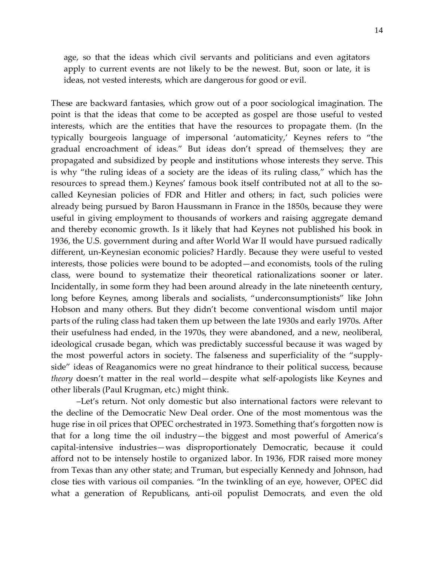age, so that the ideas which civil servants and politicians and even agitators apply to current events are not likely to be the newest. But, soon or late, it is ideas, not vested interests, which are dangerous for good or evil.

These are backward fantasies, which grow out of a poor sociological imagination. The point is that the ideas that come to be accepted as gospel are those useful to vested interests, which are the entities that have the resources to propagate them. (In the typically bourgeois language of impersonal 'automaticity,' Keynes refers to "the gradual encroachment of ideas." But ideas don't spread of themselves; they are propagated and subsidized by people and institutions whose interests they serve. This is why "the ruling ideas of a society are the ideas of its ruling class," which has the resources to spread them.) Keynes' famous book itself contributed not at all to the socalled Keynesian policies of FDR and Hitler and others; in fact, such policies were already being pursued by Baron Haussmann in France in the 1850s, because they were useful in giving employment to thousands of workers and raising aggregate demand and thereby economic growth. Is it likely that had Keynes not published his book in 1936, the U.S. government during and after World War II would have pursued radically different, un-Keynesian economic policies? Hardly. Because they were useful to vested interests, those policies were bound to be adopted—and economists, tools of the ruling class, were bound to systematize their theoretical rationalizations sooner or later. Incidentally, in some form they had been around already in the late nineteenth century, long before Keynes, among liberals and socialists, "underconsumptionists" like John Hobson and many others. But they didn't become conventional wisdom until major parts of the ruling class had taken them up between the late 1930s and early 1970s. After their usefulness had ended, in the 1970s, they were abandoned, and a new, neoliberal, ideological crusade began, which was predictably successful because it was waged by the most powerful actors in society. The falseness and superficiality of the "supplyside" ideas of Reaganomics were no great hindrance to their political success, because *theory* doesn't matter in the real world—despite what self-apologists like Keynes and other liberals (Paul Krugman, etc.) might think.

–Let's return. Not only domestic but also international factors were relevant to the decline of the Democratic New Deal order. One of the most momentous was the huge rise in oil prices that OPEC orchestrated in 1973. Something that's forgotten now is that for a long time the oil industry—the biggest and most powerful of America's capital-intensive industries—was disproportionately Democratic, because it could afford not to be intensely hostile to organized labor. In 1936, FDR raised more money from Texas than any other state; and Truman, but especially Kennedy and Johnson, had close ties with various oil companies. "In the twinkling of an eye, however, OPEC did what a generation of Republicans, anti-oil populist Democrats, and even the old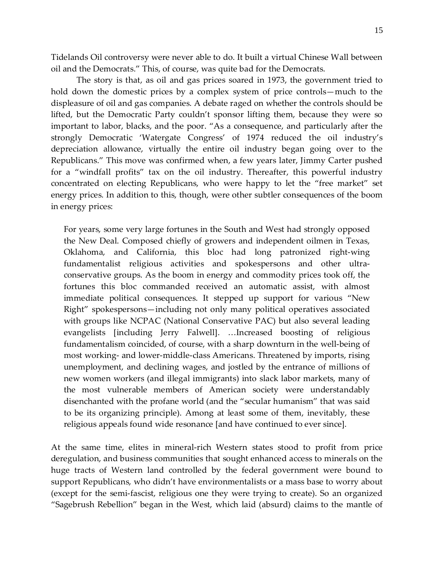Tidelands Oil controversy were never able to do. It built a virtual Chinese Wall between oil and the Democrats." This, of course, was quite bad for the Democrats.

The story is that, as oil and gas prices soared in 1973, the government tried to hold down the domestic prices by a complex system of price controls—much to the displeasure of oil and gas companies. A debate raged on whether the controls should be lifted, but the Democratic Party couldn't sponsor lifting them, because they were so important to labor, blacks, and the poor. "As a consequence, and particularly after the strongly Democratic 'Watergate Congress' of 1974 reduced the oil industry's depreciation allowance, virtually the entire oil industry began going over to the Republicans." This move was confirmed when, a few years later, Jimmy Carter pushed for a "windfall profits" tax on the oil industry. Thereafter, this powerful industry concentrated on electing Republicans, who were happy to let the "free market" set energy prices. In addition to this, though, were other subtler consequences of the boom in energy prices:

For years, some very large fortunes in the South and West had strongly opposed the New Deal. Composed chiefly of growers and independent oilmen in Texas, Oklahoma, and California, this bloc had long patronized right-wing fundamentalist religious activities and spokespersons and other ultraconservative groups. As the boom in energy and commodity prices took off, the fortunes this bloc commanded received an automatic assist, with almost immediate political consequences. It stepped up support for various "New Right" spokespersons—including not only many political operatives associated with groups like NCPAC (National Conservative PAC) but also several leading evangelists [including Jerry Falwell]. …Increased boosting of religious fundamentalism coincided, of course, with a sharp downturn in the well-being of most working- and lower-middle-class Americans. Threatened by imports, rising unemployment, and declining wages, and jostled by the entrance of millions of new women workers (and illegal immigrants) into slack labor markets, many of the most vulnerable members of American society were understandably disenchanted with the profane world (and the "secular humanism" that was said to be its organizing principle). Among at least some of them, inevitably, these religious appeals found wide resonance [and have continued to ever since].

At the same time, elites in mineral-rich Western states stood to profit from price deregulation, and business communities that sought enhanced access to minerals on the huge tracts of Western land controlled by the federal government were bound to support Republicans, who didn't have environmentalists or a mass base to worry about (except for the semi-fascist, religious one they were trying to create). So an organized "Sagebrush Rebellion" began in the West, which laid (absurd) claims to the mantle of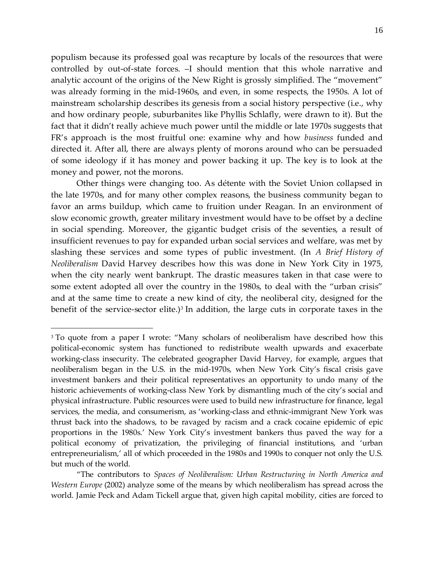populism because its professed goal was recapture by locals of the resources that were controlled by out-of-state forces. –I should mention that this whole narrative and analytic account of the origins of the New Right is grossly simplified. The "movement" was already forming in the mid-1960s, and even, in some respects, the 1950s. A lot of mainstream scholarship describes its genesis from a social history perspective (i.e., why and how ordinary people, suburbanites like Phyllis Schlafly, were drawn to it). But the fact that it didn't really achieve much power until the middle or late 1970s suggests that FR's approach is the most fruitful one: examine why and how *business* funded and directed it. After all, there are always plenty of morons around who can be persuaded of some ideology if it has money and power backing it up. The key is to look at the money and power, not the morons.

Other things were changing too. As détente with the Soviet Union collapsed in the late 1970s, and for many other complex reasons, the business community began to favor an arms buildup, which came to fruition under Reagan. In an environment of slow economic growth, greater military investment would have to be offset by a decline in social spending. Moreover, the gigantic budget crisis of the seventies, a result of insufficient revenues to pay for expanded urban social services and welfare, was met by slashing these services and some types of public investment. (In *A Brief History of Neoliberalism* David Harvey describes how this was done in New York City in 1975, when the city nearly went bankrupt. The drastic measures taken in that case were to some extent adopted all over the country in the 1980s, to deal with the "urban crisis" and at the same time to create a new kind of city, the neoliberal city, designed for the benefit of the service-sector elite.)<sup>3</sup> In addition, the large cuts in corporate taxes in the

 $\overline{a}$ 

<sup>&</sup>lt;sup>3</sup> To quote from a paper I wrote: "Many scholars of neoliberalism have described how this political-economic system has functioned to redistribute wealth upwards and exacerbate working-class insecurity. The celebrated geographer David Harvey, for example, argues that neoliberalism began in the U.S. in the mid-1970s, when New York City's fiscal crisis gave investment bankers and their political representatives an opportunity to undo many of the historic achievements of working-class New York by dismantling much of the city's social and physical infrastructure. Public resources were used to build new infrastructure for finance, legal services, the media, and consumerism, as 'working-class and ethnic-immigrant New York was thrust back into the shadows, to be ravaged by racism and a crack cocaine epidemic of epic proportions in the 1980s.' New York City's investment bankers thus paved the way for a political economy of privatization, the privileging of financial institutions, and 'urban entrepreneurialism,' all of which proceeded in the 1980s and 1990s to conquer not only the U.S. but much of the world.

<sup>&</sup>quot;The contributors to *Spaces of Neoliberalism: Urban Restructuring in North America and Western Europe* (2002) analyze some of the means by which neoliberalism has spread across the world. Jamie Peck and Adam Tickell argue that, given high capital mobility, cities are forced to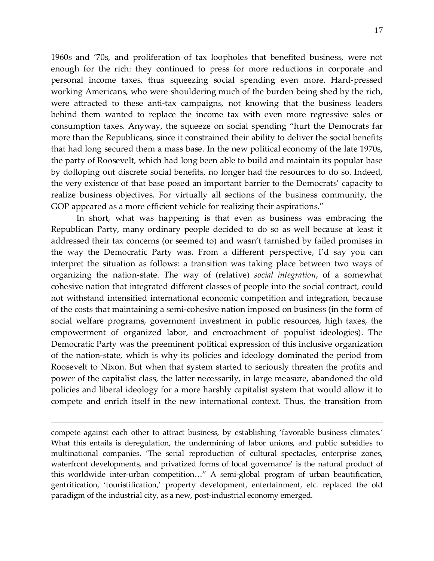1960s and '70s, and proliferation of tax loopholes that benefited business, were not enough for the rich: they continued to press for more reductions in corporate and personal income taxes, thus squeezing social spending even more. Hard-pressed working Americans, who were shouldering much of the burden being shed by the rich, were attracted to these anti-tax campaigns, not knowing that the business leaders behind them wanted to replace the income tax with even more regressive sales or consumption taxes. Anyway, the squeeze on social spending "hurt the Democrats far more than the Republicans, since it constrained their ability to deliver the social benefits that had long secured them a mass base. In the new political economy of the late 1970s, the party of Roosevelt, which had long been able to build and maintain its popular base by dolloping out discrete social benefits, no longer had the resources to do so. Indeed, the very existence of that base posed an important barrier to the Democrats' capacity to realize business objectives. For virtually all sections of the business community, the GOP appeared as a more efficient vehicle for realizing their aspirations."

In short, what was happening is that even as business was embracing the Republican Party, many ordinary people decided to do so as well because at least it addressed their tax concerns (or seemed to) and wasn't tarnished by failed promises in the way the Democratic Party was. From a different perspective, I'd say you can interpret the situation as follows: a transition was taking place between two ways of organizing the nation-state. The way of (relative) *social integration*, of a somewhat cohesive nation that integrated different classes of people into the social contract, could not withstand intensified international economic competition and integration, because of the costs that maintaining a semi-cohesive nation imposed on business (in the form of social welfare programs, government investment in public resources, high taxes, the empowerment of organized labor, and encroachment of populist ideologies). The Democratic Party was the preeminent political expression of this inclusive organization of the nation-state, which is why its policies and ideology dominated the period from Roosevelt to Nixon. But when that system started to seriously threaten the profits and power of the capitalist class, the latter necessarily, in large measure, abandoned the old policies and liberal ideology for a more harshly capitalist system that would allow it to compete and enrich itself in the new international context. Thus, the transition from

compete against each other to attract business, by establishing 'favorable business climates.' What this entails is deregulation, the undermining of labor unions, and public subsidies to multinational companies. 'The serial reproduction of cultural spectacles, enterprise zones, waterfront developments, and privatized forms of local governance' is the natural product of this worldwide inter-urban competition…" A semi-global program of urban beautification, gentrification, 'touristification,' property development, entertainment, etc. replaced the old paradigm of the industrial city, as a new, post-industrial economy emerged.

 $\overline{a}$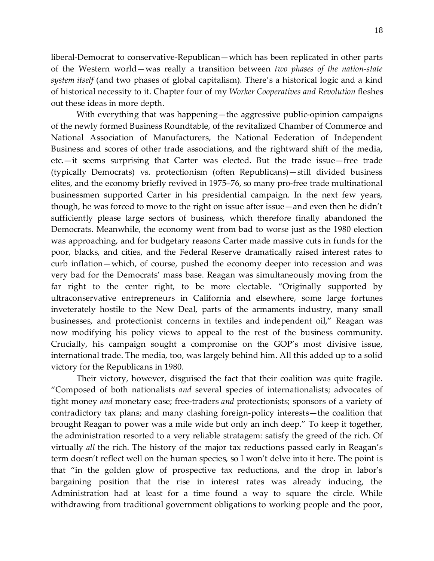liberal-Democrat to conservative-Republican—which has been replicated in other parts of the Western world—was really a transition between *two phases of the nation-state system itself* (and two phases of global capitalism). There's a historical logic and a kind of historical necessity to it. Chapter four of my *Worker Cooperatives and Revolution* fleshes out these ideas in more depth.

With everything that was happening—the aggressive public-opinion campaigns of the newly formed Business Roundtable, of the revitalized Chamber of Commerce and National Association of Manufacturers, the National Federation of Independent Business and scores of other trade associations, and the rightward shift of the media, etc.—it seems surprising that Carter was elected. But the trade issue—free trade (typically Democrats) vs. protectionism (often Republicans)—still divided business elites, and the economy briefly revived in 1975–76, so many pro-free trade multinational businessmen supported Carter in his presidential campaign. In the next few years, though, he was forced to move to the right on issue after issue—and even then he didn't sufficiently please large sectors of business, which therefore finally abandoned the Democrats. Meanwhile, the economy went from bad to worse just as the 1980 election was approaching, and for budgetary reasons Carter made massive cuts in funds for the poor, blacks, and cities, and the Federal Reserve dramatically raised interest rates to curb inflation—which, of course, pushed the economy deeper into recession and was very bad for the Democrats' mass base. Reagan was simultaneously moving from the far right to the center right, to be more electable. "Originally supported by ultraconservative entrepreneurs in California and elsewhere, some large fortunes inveterately hostile to the New Deal, parts of the armaments industry, many small businesses, and protectionist concerns in textiles and independent oil," Reagan was now modifying his policy views to appeal to the rest of the business community. Crucially, his campaign sought a compromise on the GOP's most divisive issue, international trade. The media, too, was largely behind him. All this added up to a solid victory for the Republicans in 1980.

Their victory, however, disguised the fact that their coalition was quite fragile. "Composed of both nationalists *and* several species of internationalists; advocates of tight money *and* monetary ease; free-traders *and* protectionists; sponsors of a variety of contradictory tax plans; and many clashing foreign-policy interests—the coalition that brought Reagan to power was a mile wide but only an inch deep." To keep it together, the administration resorted to a very reliable stratagem: satisfy the greed of the rich. Of virtually *all* the rich. The history of the major tax reductions passed early in Reagan's term doesn't reflect well on the human species, so I won't delve into it here. The point is that "in the golden glow of prospective tax reductions, and the drop in labor's bargaining position that the rise in interest rates was already inducing, the Administration had at least for a time found a way to square the circle. While withdrawing from traditional government obligations to working people and the poor,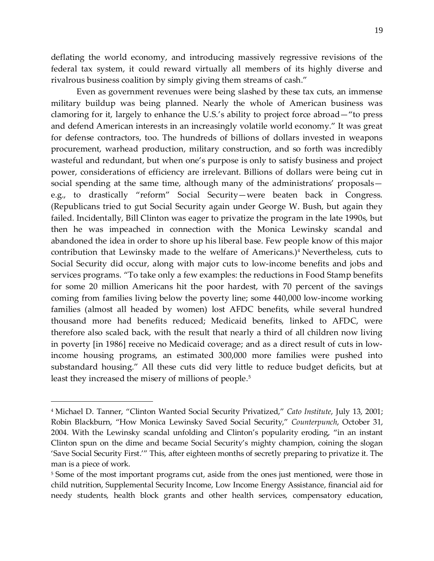deflating the world economy, and introducing massively regressive revisions of the federal tax system, it could reward virtually all members of its highly diverse and rivalrous business coalition by simply giving them streams of cash."

Even as government revenues were being slashed by these tax cuts, an immense military buildup was being planned. Nearly the whole of American business was clamoring for it, largely to enhance the U.S.'s ability to project force abroad—"to press and defend American interests in an increasingly volatile world economy." It was great for defense contractors, too. The hundreds of billions of dollars invested in weapons procurement, warhead production, military construction, and so forth was incredibly wasteful and redundant, but when one's purpose is only to satisfy business and project power, considerations of efficiency are irrelevant. Billions of dollars were being cut in social spending at the same time, although many of the administrations' proposals e.g., to drastically "reform" Social Security—were beaten back in Congress. (Republicans tried to gut Social Security again under George W. Bush, but again they failed. Incidentally, Bill Clinton was eager to privatize the program in the late 1990s, but then he was impeached in connection with the Monica Lewinsky scandal and abandoned the idea in order to shore up his liberal base. Few people know of this major contribution that Lewinsky made to the welfare of Americans.)<sup>4</sup> Nevertheless, cuts to Social Security did occur, along with major cuts to low-income benefits and jobs and services programs. "To take only a few examples: the reductions in Food Stamp benefits for some 20 million Americans hit the poor hardest, with 70 percent of the savings coming from families living below the poverty line; some 440,000 low-income working families (almost all headed by women) lost AFDC benefits, while several hundred thousand more had benefits reduced; Medicaid benefits, linked to AFDC, were therefore also scaled back, with the result that nearly a third of all children now living in poverty [in 1986] receive no Medicaid coverage; and as a direct result of cuts in lowincome housing programs, an estimated 300,000 more families were pushed into substandard housing." All these cuts did very little to reduce budget deficits, but at least they increased the misery of millions of people.<sup>5</sup>

 $\overline{a}$ 

<sup>4</sup> Michael D. Tanner, "Clinton Wanted Social Security Privatized," *Cato Institute*, July 13, 2001; Robin Blackburn, "How Monica Lewinsky Saved Social Security," *Counterpunch*, October 31, 2004. With the Lewinsky scandal unfolding and Clinton's popularity eroding, "in an instant Clinton spun on the dime and became Social Security's mighty champion, coining the slogan 'Save Social Security First.'" This, after eighteen months of secretly preparing to privatize it. The man is a piece of work.

<sup>&</sup>lt;sup>5</sup> Some of the most important programs cut, aside from the ones just mentioned, were those in child nutrition, Supplemental Security Income, Low Income Energy Assistance, financial aid for needy students, health block grants and other health services, compensatory education,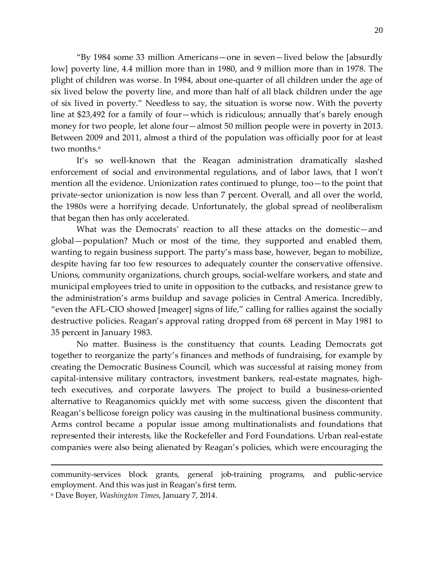"By 1984 some 33 million Americans—one in seven—lived below the [absurdly low] poverty line, 4.4 million more than in 1980, and 9 million more than in 1978. The plight of children was worse. In 1984, about one-quarter of all children under the age of six lived below the poverty line, and more than half of all black children under the age of six lived in poverty." Needless to say, the situation is worse now. With the poverty line at \$23,492 for a family of four—which is ridiculous; annually that's barely enough money for two people, let alone four—almost 50 million people were in poverty in 2013. Between 2009 and 2011, almost a third of the population was officially poor for at least two months.<sup>6</sup>

It's so well-known that the Reagan administration dramatically slashed enforcement of social and environmental regulations, and of labor laws, that I won't mention all the evidence. Unionization rates continued to plunge, too—to the point that private-sector unionization is now less than 7 percent. Overall, and all over the world, the 1980s were a horrifying decade. Unfortunately, the global spread of neoliberalism that began then has only accelerated.

What was the Democrats' reaction to all these attacks on the domestic—and global—population? Much or most of the time, they supported and enabled them, wanting to regain business support. The party's mass base, however, began to mobilize, despite having far too few resources to adequately counter the conservative offensive. Unions, community organizations, church groups, social-welfare workers, and state and municipal employees tried to unite in opposition to the cutbacks, and resistance grew to the administration's arms buildup and savage policies in Central America. Incredibly, "even the AFL-CIO showed [meager] signs of life," calling for rallies against the socially destructive policies. Reagan's approval rating dropped from 68 percent in May 1981 to 35 percent in January 1983.

No matter. Business is the constituency that counts. Leading Democrats got together to reorganize the party's finances and methods of fundraising, for example by creating the Democratic Business Council, which was successful at raising money from capital-intensive military contractors, investment bankers, real-estate magnates, hightech executives, and corporate lawyers. The project to build a business-oriented alternative to Reaganomics quickly met with some success, given the discontent that Reagan's bellicose foreign policy was causing in the multinational business community. Arms control became a popular issue among multinationalists and foundations that represented their interests, like the Rockefeller and Ford Foundations. Urban real-estate companies were also being alienated by Reagan's policies, which were encouraging the

community-services block grants, general job-training programs, and public-service employment. And this was just in Reagan's first term.

<sup>6</sup> Dave Boyer, *Washington Times*, January 7, 2014.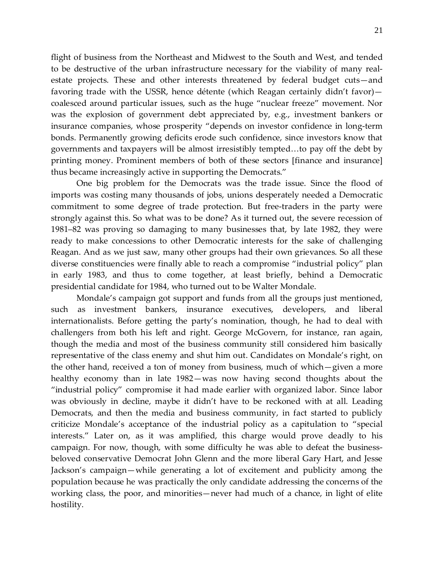flight of business from the Northeast and Midwest to the South and West, and tended to be destructive of the urban infrastructure necessary for the viability of many realestate projects. These and other interests threatened by federal budget cuts—and favoring trade with the USSR, hence détente (which Reagan certainly didn't favor) coalesced around particular issues, such as the huge "nuclear freeze" movement. Nor was the explosion of government debt appreciated by, e.g., investment bankers or insurance companies, whose prosperity "depends on investor confidence in long-term bonds. Permanently growing deficits erode such confidence, since investors know that governments and taxpayers will be almost irresistibly tempted…to pay off the debt by printing money. Prominent members of both of these sectors [finance and insurance] thus became increasingly active in supporting the Democrats."

One big problem for the Democrats was the trade issue. Since the flood of imports was costing many thousands of jobs, unions desperately needed a Democratic commitment to some degree of trade protection. But free-traders in the party were strongly against this. So what was to be done? As it turned out, the severe recession of 1981–82 was proving so damaging to many businesses that, by late 1982, they were ready to make concessions to other Democratic interests for the sake of challenging Reagan. And as we just saw, many other groups had their own grievances. So all these diverse constituencies were finally able to reach a compromise "industrial policy" plan in early 1983, and thus to come together, at least briefly, behind a Democratic presidential candidate for 1984, who turned out to be Walter Mondale.

Mondale's campaign got support and funds from all the groups just mentioned, such as investment bankers, insurance executives, developers, and liberal internationalists. Before getting the party's nomination, though, he had to deal with challengers from both his left and right. George McGovern, for instance, ran again, though the media and most of the business community still considered him basically representative of the class enemy and shut him out. Candidates on Mondale's right, on the other hand, received a ton of money from business, much of which—given a more healthy economy than in late 1982—was now having second thoughts about the "industrial policy" compromise it had made earlier with organized labor. Since labor was obviously in decline, maybe it didn't have to be reckoned with at all. Leading Democrats, and then the media and business community, in fact started to publicly criticize Mondale's acceptance of the industrial policy as a capitulation to "special interests." Later on, as it was amplified, this charge would prove deadly to his campaign. For now, though, with some difficulty he was able to defeat the businessbeloved conservative Democrat John Glenn and the more liberal Gary Hart, and Jesse Jackson's campaign—while generating a lot of excitement and publicity among the population because he was practically the only candidate addressing the concerns of the working class, the poor, and minorities—never had much of a chance, in light of elite hostility.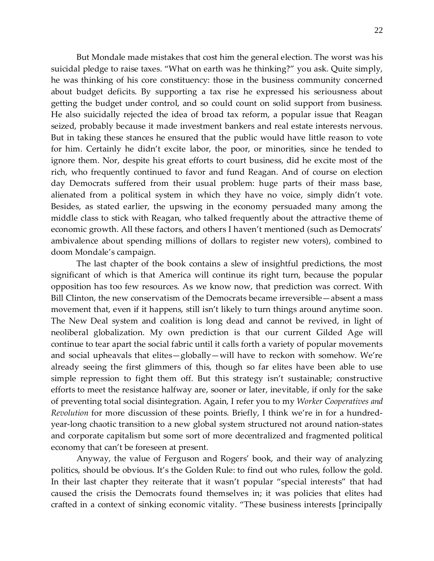But Mondale made mistakes that cost him the general election. The worst was his suicidal pledge to raise taxes. "What on earth was he thinking?" you ask. Quite simply, he was thinking of his core constituency: those in the business community concerned about budget deficits. By supporting a tax rise he expressed his seriousness about getting the budget under control, and so could count on solid support from business. He also suicidally rejected the idea of broad tax reform, a popular issue that Reagan seized, probably because it made investment bankers and real estate interests nervous. But in taking these stances he ensured that the public would have little reason to vote for him. Certainly he didn't excite labor, the poor, or minorities, since he tended to ignore them. Nor, despite his great efforts to court business, did he excite most of the rich, who frequently continued to favor and fund Reagan. And of course on election day Democrats suffered from their usual problem: huge parts of their mass base, alienated from a political system in which they have no voice, simply didn't vote. Besides, as stated earlier, the upswing in the economy persuaded many among the middle class to stick with Reagan, who talked frequently about the attractive theme of economic growth. All these factors, and others I haven't mentioned (such as Democrats' ambivalence about spending millions of dollars to register new voters), combined to doom Mondale's campaign.

The last chapter of the book contains a slew of insightful predictions, the most significant of which is that America will continue its right turn, because the popular opposition has too few resources. As we know now, that prediction was correct. With Bill Clinton, the new conservatism of the Democrats became irreversible—absent a mass movement that, even if it happens, still isn't likely to turn things around anytime soon. The New Deal system and coalition is long dead and cannot be revived, in light of neoliberal globalization. My own prediction is that our current Gilded Age will continue to tear apart the social fabric until it calls forth a variety of popular movements and social upheavals that elites—globally—will have to reckon with somehow. We're already seeing the first glimmers of this, though so far elites have been able to use simple repression to fight them off. But this strategy isn't sustainable; constructive efforts to meet the resistance halfway are, sooner or later, inevitable, if only for the sake of preventing total social disintegration. Again, I refer you to my *Worker Cooperatives and Revolution* for more discussion of these points. Briefly, I think we're in for a hundredyear-long chaotic transition to a new global system structured not around nation-states and corporate capitalism but some sort of more decentralized and fragmented political economy that can't be foreseen at present.

Anyway, the value of Ferguson and Rogers' book, and their way of analyzing politics, should be obvious. It's the Golden Rule: to find out who rules, follow the gold. In their last chapter they reiterate that it wasn't popular "special interests" that had caused the crisis the Democrats found themselves in; it was policies that elites had crafted in a context of sinking economic vitality. "These business interests [principally